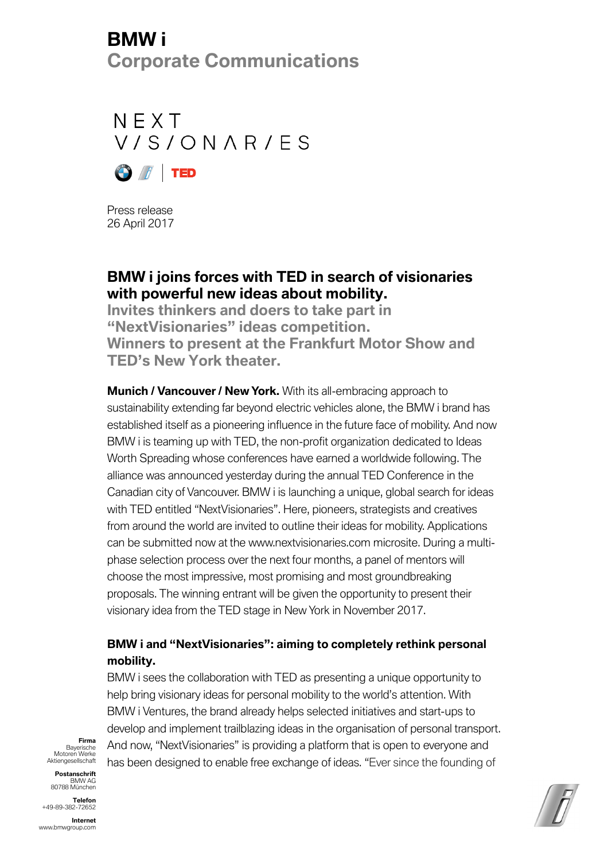# **BMW i Corporate Communications**

 $N$  F X T V/S/ONAR/ES



Press release 26 April 2017

### **BMW i joins forces with TED in search of visionaries with powerful new ideas about mobility.**

**Invites thinkers and doers to take part in "NextVisionaries" ideas competition. Winners to present at the Frankfurt Motor Show and TED's New York theater.**

**Munich / Vancouver / New York.** With its all-embracing approach to sustainability extending far beyond electric vehicles alone, the BMW i brand has established itself as a pioneering influence in the future face of mobility. And now BMW i is teaming up with TED, the non-profit organization dedicated to Ideas Worth Spreading whose conferences have earned a worldwide following. The alliance was announced yesterday during the annual TED Conference in the Canadian city of Vancouver. BMW i is launching a unique, global search for ideas with TED entitled "NextVisionaries". Here, pioneers, strategists and creatives from around the world are invited to outline their ideas for mobility. Applications can be submitted now at the www.nextvisionaries.com microsite. During a multiphase selection process over the next four months, a panel of mentors will choose the most impressive, most promising and most groundbreaking proposals. The winning entrant will be given the opportunity to present their visionary idea from the TED stage in New York in November 2017.

### **BMW i and "NextVisionaries": aiming to completely rethink personal mobility.**

BMW i sees the collaboration with TED as presenting a unique opportunity to help bring visionary ideas for personal mobility to the world's attention. With BMW i Ventures, the brand already helps selected initiatives and start-ups to develop and implement trailblazing ideas in the organisation of personal transport. And now, "NextVisionaries" is providing a platform that is open to everyone and has been designed to enable free exchange of ideas. "Ever since the founding of

**Firma** Bayerische Motoren Werke Aktiengesellschaft

**Postanschrift**  BMW AG 80788 München

**Telefon**  +49-89-382-72652



**Internet**  www.bmwgroup.com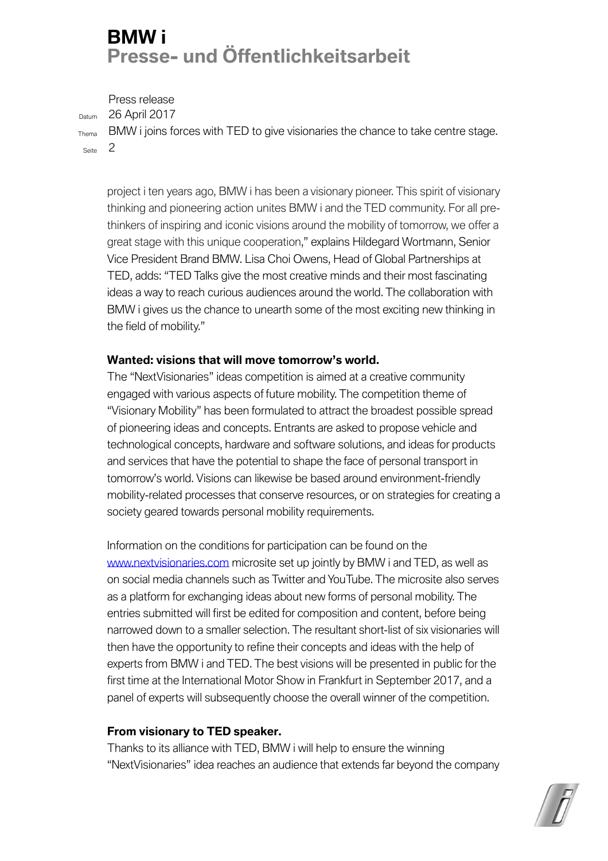# **BMW i Presse- und Öffentlichkeitsarbeit**

Press release

Datum 26 April 2017

Thema BMW i joins forces with TED to give visionaries the chance to take centre stage. Seite 2

project i ten years ago, BMW i has been a visionary pioneer. This spirit of visionary thinking and pioneering action unites BMW i and the TED community. For all prethinkers of inspiring and iconic visions around the mobility of tomorrow, we offer a great stage with this unique cooperation," explains Hildegard Wortmann, Senior Vice President Brand BMW. Lisa Choi Owens, Head of Global Partnerships at TED, adds: "TED Talks give the most creative minds and their most fascinating ideas a way to reach curious audiences around the world. The collaboration with BMW i gives us the chance to unearth some of the most exciting new thinking in the field of mobility."

### **Wanted: visions that will move tomorrow's world.**

The "NextVisionaries" ideas competition is aimed at a creative community engaged with various aspects of future mobility. The competition theme of "Visionary Mobility" has been formulated to attract the broadest possible spread of pioneering ideas and concepts. Entrants are asked to propose vehicle and technological concepts, hardware and software solutions, and ideas for products and services that have the potential to shape the face of personal transport in tomorrow's world. Visions can likewise be based around environment-friendly mobility-related processes that conserve resources, or on strategies for creating a society geared towards personal mobility requirements.

Information on the conditions for participation can be found on the www.nextvisionaries.com microsite set up jointly by BMW i and TED, as well as on social media channels such as Twitter and YouTube. The microsite also serves as a platform for exchanging ideas about new forms of personal mobility. The entries submitted will first be edited for composition and content, before being narrowed down to a smaller selection. The resultant short-list of six visionaries will then have the opportunity to refine their concepts and ideas with the help of experts from BMW i and TED. The best visions will be presented in public for the first time at the International Motor Show in Frankfurt in September 2017, and a panel of experts will subsequently choose the overall winner of the competition.

#### **From visionary to TED speaker.**

Thanks to its alliance with TED, BMW i will help to ensure the winning "NextVisionaries" idea reaches an audience that extends far beyond the company

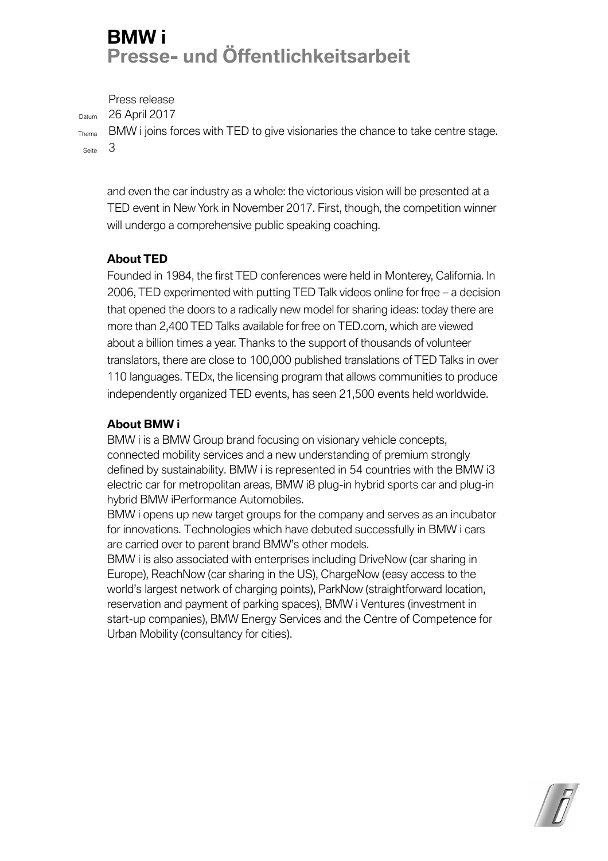# **BMW i Presse- und Öffentlichkeitsarbeit**

Press release Datum 26 April 2017 Thema BMW i joins forces with TED to give visionaries the chance to take centre stage. Seite 3

and even the car industry as a whole: the victorious vision will be presented at a TED event in New York in November 2017. First, though, the competition winner will undergo a comprehensive public speaking coaching.

### **About TED**

Founded in 1984, the first TED conferences were held in Monterey, California. In 2006, TED experimented with putting TED Talk videos online for free – a decision that opened the doors to a radically new model for sharing ideas: today there are more than 2,400 TED Talks available for free on TED.com, which are viewed about a billion times a year. Thanks to the support of thousands of volunteer translators, there are close to 100,000 published translations of TED Talks in over 110 languages. TEDx, the licensing program that allows communities to produce independently organized TED events, has seen 21,500 events held worldwide.

#### **About BMW i**

BMW i is a BMW Group brand focusing on visionary vehicle concepts, connected mobility services and a new understanding of premium strongly defined by sustainability. BMW i is represented in 54 countries with the BMW i3 electric car for metropolitan areas, BMW i8 plug-in hybrid sports car and plug-in hybrid BMW iPerformance Automobiles.

BMW i opens up new target groups for the company and serves as an incubator for innovations. Technologies which have debuted successfully in BMW i cars are carried over to parent brand BMW's other models.

BMW i is also associated with enterprises including DriveNow (car sharing in Europe), ReachNow (car sharing in the US), ChargeNow (easy access to the world's largest network of charging points), ParkNow (straightforward location, reservation and payment of parking spaces), BMW i Ventures (investment in start-up companies), BMW Energy Services and the Centre of Competence for Urban Mobility (consultancy for cities).